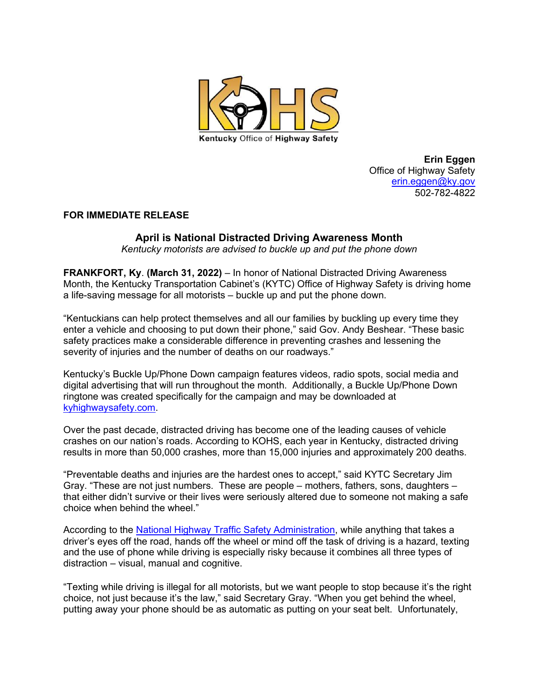

Erin Eggen Office of Highway Safety erin.eggen@ky.gov 502-782-4822

## FOR IMMEDIATE RELEASE

## April is National Distracted Driving Awareness Month

Kentucky motorists are advised to buckle up and put the phone down

FRANKFORT, Ky. (March 31, 2022) – In honor of National Distracted Driving Awareness Month, the Kentucky Transportation Cabinet's (KYTC) Office of Highway Safety is driving home a life-saving message for all motorists – buckle up and put the phone down.

"Kentuckians can help protect themselves and all our families by buckling up every time they enter a vehicle and choosing to put down their phone," said Gov. Andy Beshear. "These basic safety practices make a considerable difference in preventing crashes and lessening the severity of injuries and the number of deaths on our roadways."

Kentucky's Buckle Up/Phone Down campaign features videos, radio spots, social media and digital advertising that will run throughout the month. Additionally, a Buckle Up/Phone Down ringtone was created specifically for the campaign and may be downloaded at kyhighwaysafety.com.

Over the past decade, distracted driving has become one of the leading causes of vehicle crashes on our nation's roads. According to KOHS, each year in Kentucky, distracted driving results in more than 50,000 crashes, more than 15,000 injuries and approximately 200 deaths.

"Preventable deaths and injuries are the hardest ones to accept," said KYTC Secretary Jim Gray. "These are not just numbers. These are people – mothers, fathers, sons, daughters – that either didn't survive or their lives were seriously altered due to someone not making a safe choice when behind the wheel."

According to the National Highway Traffic Safety Administration, while anything that takes a driver's eyes off the road, hands off the wheel or mind off the task of driving is a hazard, texting and the use of phone while driving is especially risky because it combines all three types of distraction – visual, manual and cognitive.

"Texting while driving is illegal for all motorists, but we want people to stop because it's the right choice, not just because it's the law," said Secretary Gray. "When you get behind the wheel, putting away your phone should be as automatic as putting on your seat belt. Unfortunately,